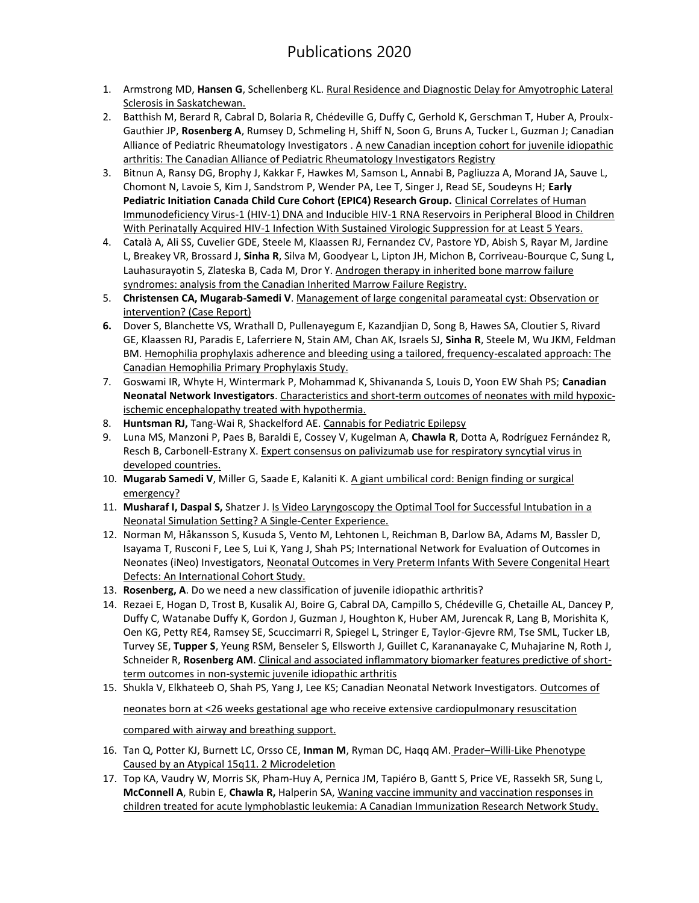- 1. Armstrong MD, **Hansen G**, Schellenberg KL. [Rural Residence and Diagnostic Delay for Amyotrophic Lateral](https://www.ncbi.nlm.nih.gov/pubmed/32100650)  [Sclerosis in Saskatchewan.](https://www.ncbi.nlm.nih.gov/pubmed/32100650)
- 2. Batthish M, Berard R, Cabral D, Bolaria R, Chédeville G, Duffy C, Gerhold K, Gerschman T, Huber A, Proulx-Gauthier JP, **Rosenberg A**, Rumsey D, Schmeling H, Shiff N, Soon G, Bruns A, Tucker L, Guzman J; Canadian Alliance of Pediatric Rheumatology Investigators [. A new Canadian inception cohort for juvenile idiopathic](https://www.ncbi.nlm.nih.gov/pubmed/32044978)  [arthritis: The Canadian Alliance of Pediatric Rheumatology Investigators Registry](https://www.ncbi.nlm.nih.gov/pubmed/32044978)
- 3. Bitnun A, Ransy DG, Brophy J, Kakkar F, Hawkes M, Samson L, Annabi B, Pagliuzza A, Morand JA, Sauve L, Chomont N, Lavoie S, Kim J, Sandstrom P, Wender PA, Lee T, Singer J, Read SE, Soudeyns H; **Early Pediatric Initiation Canada Child Cure Cohort (EPIC4) Research Group.** [Clinical Correlates of Human](https://www.ncbi.nlm.nih.gov/pubmed/30919879)  [Immunodeficiency Virus-1 \(HIV-1\) DNA and Inducible HIV-1 RNA Reservoirs in Peripheral Blood in Children](https://www.ncbi.nlm.nih.gov/pubmed/30919879)  [With Perinatally Acquired HIV-1 Infection With Sustained Virologic Suppression for at Least 5 Years.](https://www.ncbi.nlm.nih.gov/pubmed/30919879)
- 4. Català A, Ali SS, Cuvelier GDE, Steele M, Klaassen RJ, Fernandez CV, Pastore YD, Abish S, Rayar M, Jardine L, Breakey VR, Brossard J, **Sinha R**, Silva M, Goodyear L, Lipton JH, Michon B, Corriveau-Bourque C, Sung L, Lauhasurayotin S, Zlateska B, Cada M, Dror Y. Androgen therapy in inherited bone marrow failure [syndromes: analysis from the Canadian Inherited Marrow Failure Registry.](https://www.ncbi.nlm.nih.gov/pubmed/32128787)
- 5. **Christensen CA, Mugarab-Samedi V**[. Management of large congenital parameatal cyst: Observation or](https://www.ncbi.nlm.nih.gov/pubmed/32276218)  [intervention? \(Case Report\)](https://www.ncbi.nlm.nih.gov/pubmed/32276218)
- **6.** Dover S, Blanchette VS, Wrathall D, Pullenayegum E, Kazandjian D, Song B, Hawes SA, Cloutier S, Rivard GE, Klaassen RJ, Paradis E, Laferriere N, Stain AM, Chan AK, Israels SJ, **Sinha R**, Steele M, Wu JKM, Feldman BM. [Hemophilia prophylaxis adherence and bleeding using a tailored, frequency-escalated approach: The](https://www.ncbi.nlm.nih.gov/pubmed/32110763)  [Canadian Hemophilia Primary Prophylaxis Study.](https://www.ncbi.nlm.nih.gov/pubmed/32110763)
- 7. Goswami IR, Whyte H, Wintermark P, Mohammad K, Shivananda S, Louis D, Yoon EW Shah PS; **Canadian Neonatal Network Investigators**[. Characteristics and short-term outcomes of neonates with mild hypoxic](https://www.ncbi.nlm.nih.gov/pubmed/31723237)[ischemic encephalopathy treated with hypothermia.](https://www.ncbi.nlm.nih.gov/pubmed/31723237)
- 8. **Huntsman RJ,** Tang-Wai R, Shackelford AE[. Cannabis for Pediatric Epilepsy](https://www.ncbi.nlm.nih.gov/pubmed/31895184)
- 9. Luna MS, Manzoni P, Paes B, Baraldi E, Cossey V, Kugelman A, **Chawla R**, Dotta A, Rodríguez Fernández R, Resch B, Carbonell-Estrany X. Expert consensus on palivizumab use for respiratory syncytial virus in [developed countries.](https://www.ncbi.nlm.nih.gov/pubmed/31060948)
- 10. **Mugarab Samedi V**, Miller G, Saade E, Kalaniti K[. A giant umbilical cord: Benign finding or surgical](https://www.ncbi.nlm.nih.gov/pubmed/32128200)  [emergency?](https://www.ncbi.nlm.nih.gov/pubmed/32128200)
- 11. **Musharaf I, Daspal S,** Shatzer J[. Is Video Laryngoscopy the Optimal Tool for Successful Intubation in a](https://www.ncbi.nlm.nih.gov/pubmed/31993245)  [Neonatal Simulation Setting? A Single-Center Experience.](https://www.ncbi.nlm.nih.gov/pubmed/31993245)
- 12. Norman M, Håkansson S, Kusuda S, Vento M, Lehtonen L, Reichman B, Darlow BA, Adams M, Bassler D, Isayama T, Rusconi F, Lee S, Lui K, Yang J, Shah PS; International Network for Evaluation of Outcomes in Neonates (iNeo) Investigators[, Neonatal Outcomes in Very Preterm Infants With Severe Congenital Heart](https://www.ncbi.nlm.nih.gov/pubmed/32079479)  [Defects: An International Cohort Study.](https://www.ncbi.nlm.nih.gov/pubmed/32079479)
- 13. **Rosenberg, A**. Do we need a new classification of juvenile idiopathic arthritis?
- 14. Rezaei E, Hogan D, Trost B, Kusalik AJ, Boire G, Cabral DA, Campillo S, Chédeville G, Chetaille AL, Dancey P, Duffy C, Watanabe Duffy K, Gordon J, Guzman J, Houghton K, Huber AM, Jurencak R, Lang B, Morishita K, Oen KG, Petty RE4, Ramsey SE, Scuccimarri R, Spiegel L, Stringer E, Taylor-Gjevre RM, Tse SML, Tucker LB, Turvey SE, **Tupper S**, Yeung RSM, Benseler S, Ellsworth J, Guillet C, Karananayake C, Muhajarine N, Roth J, Schneider R, **Rosenberg AM**[. Clinical and associated inflammatory biomarker features predictive of short](https://www.ncbi.nlm.nih.gov/pubmed/?term=Clinical+and+associated+inflammatory+biomarker+features+predictive+of+short-term+outcomes+in+non-systemic+juvenile+idiopathic+arthritis)[term outcomes in non-systemic juvenile idiopathic arthritis](https://www.ncbi.nlm.nih.gov/pubmed/?term=Clinical+and+associated+inflammatory+biomarker+features+predictive+of+short-term+outcomes+in+non-systemic+juvenile+idiopathic+arthritis)
- 15. Shukla V, Elkhateeb O, Shah PS, Yang J, Lee KS; Canadian Neonatal Network Investigators. Outcomes of [neonates born at <26 weeks gestational age who receive extensive cardiopulmonary resuscitation](https://www.ncbi.nlm.nih.gov/pubmed/31911647)  [compared with airway and breathing support.](https://www.ncbi.nlm.nih.gov/pubmed/31911647)
- 16. Tan Q, Potter KJ, Burnett LC, Orsso CE, **Inman M**, Ryman DC, Haqq AM. Prader–[Willi-Like Phenotype](https://www.ncbi.nlm.nih.gov/pubmed/31991769)  [Caused by an Atypical 15q11. 2 Microdeletion](https://www.ncbi.nlm.nih.gov/pubmed/31991769)
- 17. Top KA, Vaudry W, Morris SK, Pham-Huy A, Pernica JM, Tapiéro B, Gantt S, Price VE, Rassekh SR, Sung L, **McConnell A**, Rubin E, **Chawla R,** Halperin SA, [Waning vaccine immunity and vaccination responses in](https://www.ncbi.nlm.nih.gov/pubmed/32067048)  children treated for [acute lymphoblastic leukemia: A Canadian Immunization Research Network Study.](https://www.ncbi.nlm.nih.gov/pubmed/32067048)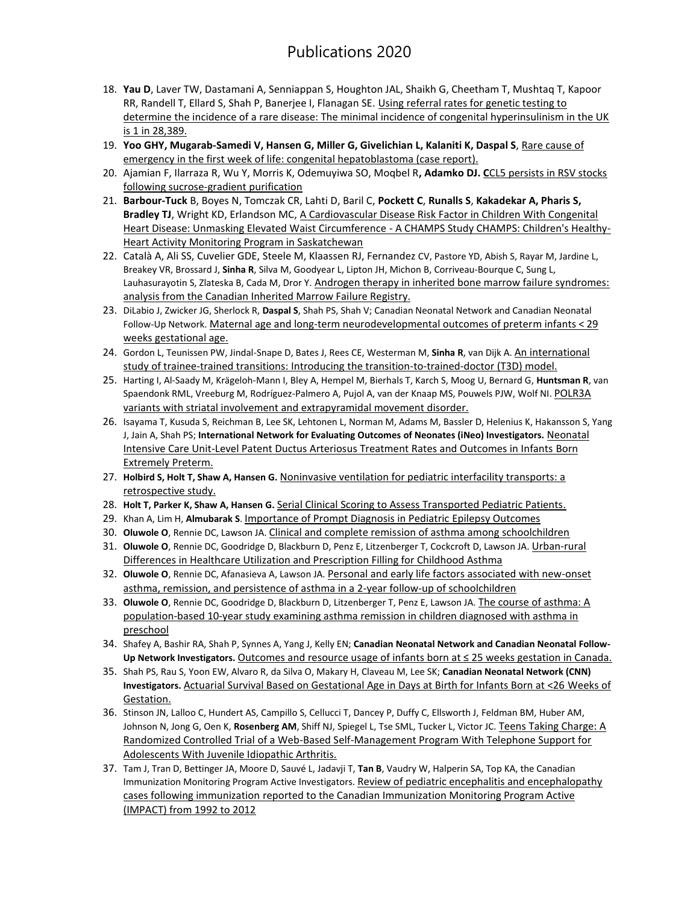## Publications 2020

- 18. **Yau D**, Laver TW, Dastamani A, Senniappan S, Houghton JAL, Shaikh G, Cheetham T, Mushtaq T, Kapoor RR, Randell T, Ellard S, Shah P, Banerjee I, Flanagan SE. Using referral rates for genetic testing to [determine the incidence of a rare disease: The minimal incidence of congenital hyperinsulinism in the UK](https://www.ncbi.nlm.nih.gov/pubmed/32027664)  [is 1 in 28,389.](https://www.ncbi.nlm.nih.gov/pubmed/32027664)
- 19. **Yoo GHY, Mugarab-Samedi V, Hansen G, Miller G, Givelichian L, Kalaniti K, Daspal S**, [Rare cause of](https://www.ncbi.nlm.nih.gov/pubmed/32123567)  [emergency in the first week of life: congenital hepatoblastoma \(case report\).](https://www.ncbi.nlm.nih.gov/pubmed/32123567)
- 20. Ajamian F, Ilarraza R, Wu Y, Morris K, Odemuyiwa SO, Moqbel R**, Adamko DJ. C**[CL5 persists in RSV stocks](https://jlb.onlinelibrary.wiley.com/doi/abs/10.1002/JLB.4MA0320-621R?af=R)  [following sucrose-gradient purification](https://jlb.onlinelibrary.wiley.com/doi/abs/10.1002/JLB.4MA0320-621R?af=R)
- 21. **Barbour-Tuck** B, Boyes N, Tomczak CR, Lahti D, Baril C, **Pockett C**, **Runalls S**, **Kakadekar A, Pharis S,**  Bradley TJ, Wright KD, Erlandson MC, A Cardiovascular Disease Risk Factor in Children With Congenital [Heart Disease: Unmasking Elevated Waist Circumference -](https://pubmed.ncbi.nlm.nih.gov/32429858/?from_single_result=A+Cardiovascular+Disease+Risk+Factor+in+Children+With+Congenital+Heart+Disease%3A+Unmasking+Elevated+Waist+Circumference+-+A+CHAMPS%2A+Study+%2ACHAMPS%3A+Children%27s+Healthy-Heart+Activity+Monitoring+Program+in+Saskatchewan&expanded_search_query=A+Cardiovascular+Disease+Risk+Factor+in+Children+With+Congenital+Heart+Disease%3A+Unmasking+Elevated+Waist+Circumference+-+A+CHAMPS%2A+Study+%2ACHAMPS%3A+Children%27s+Healthy-Heart+Activity+Monitoring+Program+in+Saskatchewan) A CHAMPS Study CHAMPS: Children's Healthy-[Heart Activity Monitoring Program in Saskatchewan](https://pubmed.ncbi.nlm.nih.gov/32429858/?from_single_result=A+Cardiovascular+Disease+Risk+Factor+in+Children+With+Congenital+Heart+Disease%3A+Unmasking+Elevated+Waist+Circumference+-+A+CHAMPS%2A+Study+%2ACHAMPS%3A+Children%27s+Healthy-Heart+Activity+Monitoring+Program+in+Saskatchewan&expanded_search_query=A+Cardiovascular+Disease+Risk+Factor+in+Children+With+Congenital+Heart+Disease%3A+Unmasking+Elevated+Waist+Circumference+-+A+CHAMPS%2A+Study+%2ACHAMPS%3A+Children%27s+Healthy-Heart+Activity+Monitoring+Program+in+Saskatchewan)
- 22. Català A, Ali SS, Cuvelier GDE, Steele M, Klaassen RJ, Fernandez CV, Pastore YD, Abish S, Rayar M, Jardine L, Breakey VR, Brossard J, **Sinha R**, Silva M, Goodyear L, Lipton JH, Michon B, Corriveau-Bourque C, Sung L, Lauhasurayotin S, Zlateska B, Cada M, Dror Y. Androgen therapy in inherited bone marrow failure syndromes: [analysis from the Canadian Inherited Marrow Failure Registry.](https://pubmed.ncbi.nlm.nih.gov/32128787/)
- 23. DiLabio J, Zwicker JG, Sherlock R, **Daspal S**, Shah PS, Shah V; Canadian Neonatal Network and Canadian Neonatal Follow-Up Network. [Maternal age and long-term neurodevelopmental outcomes of preter](https://pubmed.ncbi.nlm.nih.gov/32694856/)m infants < 29 [weeks gestational age.](https://pubmed.ncbi.nlm.nih.gov/32694856/)
- 24. Gordon L, Teunissen PW, Jindal-Snape D, Bates J, Rees CE, Westerman M, **Sinha R**, van Dijk A. [An international](https://pubmed.ncbi.nlm.nih.gov/32150488/)  [study of trainee-trained transitions: Introducing the transition-to-trained-doctor \(T3D\) model.](https://pubmed.ncbi.nlm.nih.gov/32150488/)
- 25. Harting I, Al-Saady M, Krägeloh-Mann I, Bley A, Hempel M, Bierhals T, Karch S, Moog U, Bernard G, **Huntsman R**, van Spaendonk RML, Vreeburg M, Rodríguez-Palmero A, Pujol A, van der Knaap MS, Pouwels PJW, Wolf NI. [POLR3A](https://pubmed.ncbi.nlm.nih.gov/31940116/)  [variants with striatal involvement and extrapyramidal movement disorder.](https://pubmed.ncbi.nlm.nih.gov/31940116/)
- 26. Isayama T, Kusuda S, Reichman B, Lee SK, Lehtonen L, Norman M, Adams M, Bassler D, Helenius K, Hakansson S, Yang J, Jain A, Shah PS; **International Network for Evaluating Outcomes of Neonates (iNeo) Investigators.** [Neonatal](https://pubmed.ncbi.nlm.nih.gov/32145968/)  [Intensive Care Unit-Level Patent Ductus Arteriosus Treatment Rates and Outcomes in Infants Born](https://pubmed.ncbi.nlm.nih.gov/32145968/)  [Extremely Preterm.](https://pubmed.ncbi.nlm.nih.gov/32145968/)
- 27. **Holbird S, Holt T, Shaw A, Hansen G.** [Noninvasive ventilation for pediatric interfacility transports: a](https://pubmed.ncbi.nlm.nih.gov/32405709/)  [retrospective study.](https://pubmed.ncbi.nlm.nih.gov/32405709/)
- 28. **Holt T, Parker K, Shaw A, Hansen G.** [Serial Clinical Scoring to Assess Transported Pediatric Patients.](https://pubmed.ncbi.nlm.nih.gov/32501885/)
- 29. Khan A, Lim H, **Almubarak S**. [Importance of Prompt Diagnosis in Pediatric Epilepsy Outcomes](https://pubmed.ncbi.nlm.nih.gov/32504870/)
- 30. **Oluwole O**, Rennie DC, Lawson JA. [Clinical and complete remission of asthma among schoolchildren](https://www.annallergy.org/article/S1081-1206(20)30330-6/fulltext)
- 31. **Oluwole O**, Rennie DC, Goodridge D, Blackburn D, Penz E, Litzenberger T, Cockcroft D, Lawson JA. [Urban-rural](https://pubmed.ncbi.nlm.nih.gov/32353407/)  [Differences in Healthcare Utilization and Prescription Filling for Childhood Asthma](https://pubmed.ncbi.nlm.nih.gov/32353407/)
- 32. **Oluwole O**, Rennie DC, Afanasieva A, Lawson JA. [Personal and early life factors associated with new-onset](https://www.ncbi.nlm.nih.gov/pubmed/31906746)  [asthma, remission, and persistence of asthma in a 2-year follow-up of schoolchildren](https://www.ncbi.nlm.nih.gov/pubmed/31906746)
- 33. **Oluwole O**, Rennie DC, Goodridge D, Blackburn D, Litzenberger T, Penz E, Lawson JA. [The course of asthma: A](https://onlinelibrary.wiley.com/doi/abs/10.1002/ppul.24881)  [population‐based 10‐year study examining asthma remission in children diagnosed with asthma in](https://onlinelibrary.wiley.com/doi/abs/10.1002/ppul.24881)  [preschool](https://onlinelibrary.wiley.com/doi/abs/10.1002/ppul.24881)
- 34. Shafey A, Bashir RA, Shah P, Synnes A, Yang J, Kelly EN; **Canadian Neonatal Network and Canadian Neonatal Follow-Up Network Investigators.** [Outcomes and resource usage of infants born at ≤ 25 weeks gestation in Canada.](https://pubmed.ncbi.nlm.nih.gov/32549735/)
- 35. Shah PS, Rau S, Yoon EW, Alvaro R, da Silva O, Makary H, Claveau M, Lee SK; **Canadian Neonatal Network (CNN) Investigators.** [Actuarial Survival Based on Gestational Age in Days at Birth for Infants Born at <26](https://pubmed.ncbi.nlm.nih.gov/32474028/) Weeks of [Gestation.](https://pubmed.ncbi.nlm.nih.gov/32474028/)
- 36. Stinson JN, Lalloo C, Hundert AS, Campillo S, Cellucci T, Dancey P, Duffy C, Ellsworth J, Feldman BM, Huber AM, Johnson N, Jong G, Oen K, **Rosenberg AM**, Shiff NJ, Spiegel L, Tse SML, Tucker L, Victor JC. [Teens Taking Charge: A](https://pubmed.ncbi.nlm.nih.gov/32723728/)  [Randomized Controlled Trial of a Web-Based Self-Management Program With Telephone Support for](https://pubmed.ncbi.nlm.nih.gov/32723728/)  [Adolescents With Juvenile Idiopathic Arthritis.](https://pubmed.ncbi.nlm.nih.gov/32723728/)
- 37. Tam J, Tran D, Bettinger JA, Moore D, Sauvé L, Jadavji T, **Tan B**, Vaudry W, Halperin SA, Top KA, the Canadian Immunization Monitoring Program Active Investigators. [Review of pediatric encephalitis and encephalopathy](https://www.sciencedirect.com/science/article/pii/S0264410X20305193)  cases following immunization [reported to the Canadian Immunization Monitoring Program Active](https://www.sciencedirect.com/science/article/pii/S0264410X20305193)  [\(IMPACT\) from 1992 to 2012](https://www.sciencedirect.com/science/article/pii/S0264410X20305193)